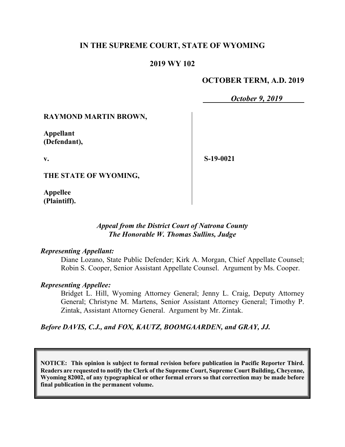# **IN THE SUPREME COURT, STATE OF WYOMING**

### **2019 WY 102**

### **OCTOBER TERM, A.D. 2019**

*October 9, 2019*

### **RAYMOND MARTIN BROWN,**

**Appellant (Defendant),**

**v.**

**S-19-0021**

**THE STATE OF WYOMING,**

**Appellee (Plaintiff).**

### *Appeal from the District Court of Natrona County The Honorable W. Thomas Sullins, Judge*

#### *Representing Appellant:*

Diane Lozano, State Public Defender; Kirk A. Morgan, Chief Appellate Counsel; Robin S. Cooper, Senior Assistant Appellate Counsel. Argument by Ms. Cooper.

#### *Representing Appellee:*

Bridget L. Hill, Wyoming Attorney General; Jenny L. Craig, Deputy Attorney General; Christyne M. Martens, Senior Assistant Attorney General; Timothy P. Zintak, Assistant Attorney General. Argument by Mr. Zintak.

### *Before DAVIS, C.J., and FOX, KAUTZ, BOOMGAARDEN, and GRAY, JJ.*

**NOTICE: This opinion is subject to formal revision before publication in Pacific Reporter Third. Readers are requested to notify the Clerk of the Supreme Court, Supreme Court Building, Cheyenne, Wyoming 82002, of any typographical or other formal errors so that correction may be made before final publication in the permanent volume.**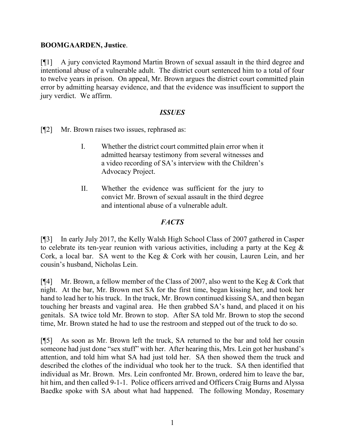### **BOOMGAARDEN, Justice**.

[¶1] A jury convicted Raymond Martin Brown of sexual assault in the third degree and intentional abuse of a vulnerable adult. The district court sentenced him to a total of four to twelve years in prison. On appeal, Mr. Brown argues the district court committed plain error by admitting hearsay evidence, and that the evidence was insufficient to support the jury verdict. We affirm.

### *ISSUES*

[¶2] Mr. Brown raises two issues, rephrased as:

- I. Whether the district court committed plain error when it admitted hearsay testimony from several witnesses and a video recording of SA's interview with the Children's Advocacy Project.
- II. Whether the evidence was sufficient for the jury to convict Mr. Brown of sexual assault in the third degree and intentional abuse of a vulnerable adult.

### *FACTS*

[¶3] In early July 2017, the Kelly Walsh High School Class of 2007 gathered in Casper to celebrate its ten-year reunion with various activities, including a party at the Keg & Cork, a local bar. SA went to the Keg & Cork with her cousin, Lauren Lein, and her cousin's husband, Nicholas Lein.

[¶4] Mr. Brown, a fellow member of the Class of 2007, also went to the Keg & Cork that night. At the bar, Mr. Brown met SA for the first time, began kissing her, and took her hand to lead her to his truck. In the truck, Mr. Brown continued kissing SA, and then began touching her breasts and vaginal area. He then grabbed SA's hand, and placed it on his genitals. SA twice told Mr. Brown to stop. After SA told Mr. Brown to stop the second time, Mr. Brown stated he had to use the restroom and stepped out of the truck to do so.

[¶5] As soon as Mr. Brown left the truck, SA returned to the bar and told her cousin someone had just done "sex stuff" with her. After hearing this, Mrs. Lein got her husband's attention, and told him what SA had just told her. SA then showed them the truck and described the clothes of the individual who took her to the truck. SA then identified that individual as Mr. Brown. Mrs. Lein confronted Mr. Brown, ordered him to leave the bar, hit him, and then called 9-1-1. Police officers arrived and Officers Craig Burns and Alyssa Baedke spoke with SA about what had happened. The following Monday, Rosemary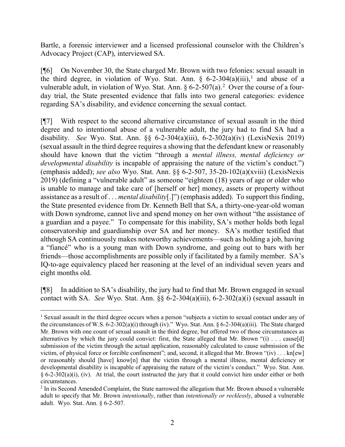Bartle, a forensic interviewer and a licensed professional counselor with the Children's Advocacy Project (CAP), interviewed SA.

[¶6] On November 30, the State charged Mr. Brown with two felonies: sexual assault in the third degree, in violation of Wyo. Stat. Ann.  $\S$  6-2-304(a)(iii),<sup>[1](#page-2-0)</sup> and abuse of a vulnerable adult, in violation of Wyo. Stat. Ann.  $\S 6$ -[2](#page-2-1)-507(a).<sup>2</sup> Over the course of a fourday trial, the State presented evidence that falls into two general categories: evidence regarding SA's disability, and evidence concerning the sexual contact.

[¶7] With respect to the second alternative circumstance of sexual assault in the third degree and to intentional abuse of a vulnerable adult, the jury had to find SA had a disability. *See* Wyo. Stat. Ann. §§ 6-2-304(a)(iii), 6-2-302(a)(iv) (LexisNexis 2019) (sexual assault in the third degree requires a showing that the defendant knew or reasonably should have known that the victim "through a *mental illness, mental deficiency or developmental disability* is incapable of appraising the nature of the victim's conduct.") (emphasis added); *see also* Wyo. Stat. Ann. §§ 6-2-507, 35-20-102(a)(xviii) (LexisNexis 2019) (defining a "vulnerable adult" as someone "eighteen (18) years of age or older who is unable to manage and take care of [herself or her] money, assets or property without assistance as a result of . . . *mental disability*[.]") (emphasis added). To support this finding, the State presented evidence from Dr. Kenneth Bell that SA, a thirty-one-year-old woman with Down syndrome, cannot live and spend money on her own without "the assistance of a guardian and a payee." To compensate for this inability, SA's mother holds both legal conservatorship and guardianship over SA and her money. SA's mother testified that although SA continuously makes noteworthy achievements—such as holding a job, having a "fiancé" who is a young man with Down syndrome, and going out to bars with her friends—those accomplishments are possible only if facilitated by a family member. SA's IQ-to-age equivalency placed her reasoning at the level of an individual seven years and eight months old.

[¶8] In addition to SA's disability, the jury had to find that Mr. Brown engaged in sexual contact with SA. *See* Wyo. Stat. Ann. §§ 6-2-304(a)(iii), 6-2-302(a)(i) (sexual assault in

<span id="page-2-0"></span><sup>&</sup>lt;sup>1</sup> Sexual assault in the third degree occurs when a person "subjects a victim to sexual contact under any of the circumstances of W.S. 6-2-302(a)(i) through (iv)." Wyo. Stat. Ann. § 6-2-304(a)(iii). The State charged Mr. Brown with one count of sexual assault in the third degree, but offered two of those circumstances as alternatives by which the jury could convict: first, the State alleged that Mr. Brown "(i) . . . cause[d] submission of the victim through the actual application, reasonably calculated to cause submission of the victim, of physical force or forcible confinement"; and, second, it alleged that Mr. Brown " $(iv) \dots$  kn[ew] or reasonably should [have] know[n] that the victim through a mental illness, mental deficiency or developmental disability is incapable of appraising the nature of the victim's conduct." Wyo. Stat. Ann.  $§ 6-2-302(a)(i)$ , (iv). At trial, the court instructed the jury that it could convict him under either or both circumstances.

<span id="page-2-1"></span><sup>2</sup> In its Second Amended Complaint, the State narrowed the allegation that Mr. Brown abused a vulnerable adult to specify that Mr. Brown *intentionally*, rather than *intentionally or recklessly*, abused a vulnerable adult. Wyo. Stat. Ann. § 6-2-507.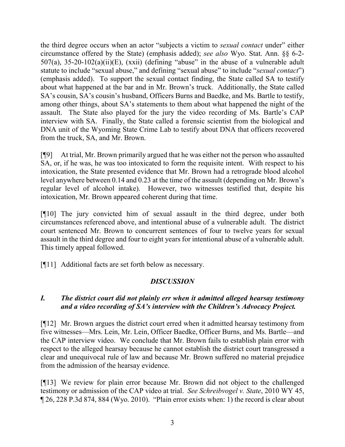the third degree occurs when an actor "subjects a victim to *sexual contact* under" either circumstance offered by the State) (emphasis added); *see also* Wyo. Stat. Ann. §§ 6-2- 507(a), 35-20-102(a)(ii)(E), (xxii) (defining "abuse" in the abuse of a vulnerable adult statute to include "sexual abuse," and defining "sexual abuse" to include "*sexual contact*") (emphasis added). To support the sexual contact finding, the State called SA to testify about what happened at the bar and in Mr. Brown's truck. Additionally, the State called SA's cousin, SA's cousin's husband, Officers Burns and Baedke, and Ms. Bartle to testify, among other things, about SA's statements to them about what happened the night of the assault. The State also played for the jury the video recording of Ms. Bartle's CAP interview with SA. Finally, the State called a forensic scientist from the biological and DNA unit of the Wyoming State Crime Lab to testify about DNA that officers recovered from the truck, SA, and Mr. Brown.

[¶9] At trial, Mr. Brown primarily argued that he was either not the person who assaulted SA, or, if he was, he was too intoxicated to form the requisite intent. With respect to his intoxication, the State presented evidence that Mr. Brown had a retrograde blood alcohol level anywhere between 0.14 and 0.23 at the time of the assault (depending on Mr. Brown's regular level of alcohol intake). However, two witnesses testified that, despite his intoxication, Mr. Brown appeared coherent during that time.

[¶10] The jury convicted him of sexual assault in the third degree, under both circumstances referenced above, and intentional abuse of a vulnerable adult. The district court sentenced Mr. Brown to concurrent sentences of four to twelve years for sexual assault in the third degree and four to eight years for intentional abuse of a vulnerable adult. This timely appeal followed.

[¶11] Additional facts are set forth below as necessary.

# *DISCUSSION*

# *I. The district court did not plainly err when it admitted alleged hearsay testimony and a video recording of SA's interview with the Children's Advocacy Project.*

[¶12] Mr. Brown argues the district court erred when it admitted hearsay testimony from five witnesses—Mrs. Lein, Mr. Lein, Officer Baedke, Officer Burns, and Ms. Bartle—and the CAP interview video. We conclude that Mr. Brown fails to establish plain error with respect to the alleged hearsay because he cannot establish the district court transgressed a clear and unequivocal rule of law and because Mr. Brown suffered no material prejudice from the admission of the hearsay evidence.

[¶13] We review for plain error because Mr. Brown did not object to the challenged testimony or admission of the CAP video at trial. *See Schreibvogel v. State*, 2010 WY 45, ¶ 26, 228 P.3d 874, 884 (Wyo. 2010). "Plain error exists when: 1) the record is clear about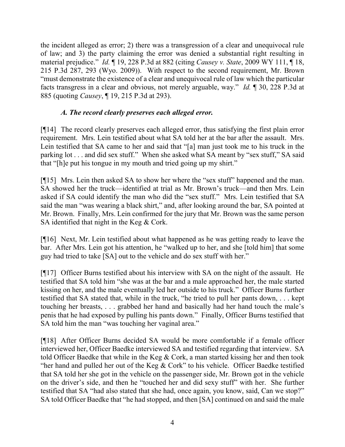the incident alleged as error; 2) there was a transgression of a clear and unequivocal rule of law; and 3) the party claiming the error was denied a substantial right resulting in material prejudice." *Id.* ¶ 19, 228 P.3d at 882 (citing *Causey v. State*, 2009 WY 111, ¶ 18, 215 P.3d 287, 293 (Wyo. 2009)). With respect to the second requirement, Mr. Brown "must demonstrate the existence of a clear and unequivocal rule of law which the particular facts transgress in a clear and obvious, not merely arguable, way." *Id.* ¶ 30, 228 P.3d at 885 (quoting *Causey*, ¶ 19, 215 P.3d at 293).

# *A. The record clearly preserves each alleged error.*

[¶14] The record clearly preserves each alleged error, thus satisfying the first plain error requirement. Mrs. Lein testified about what SA told her at the bar after the assault. Mrs. Lein testified that SA came to her and said that "[a] man just took me to his truck in the parking lot . . . and did sex stuff." When she asked what SA meant by "sex stuff," SA said that "[h]e put his tongue in my mouth and tried going up my shirt."

[¶15] Mrs. Lein then asked SA to show her where the "sex stuff" happened and the man. SA showed her the truck—identified at trial as Mr. Brown's truck—and then Mrs. Lein asked if SA could identify the man who did the "sex stuff." Mrs. Lein testified that SA said the man "was wearing a black shirt," and, after looking around the bar, SA pointed at Mr. Brown. Finally, Mrs. Lein confirmed for the jury that Mr. Brown was the same person SA identified that night in the Keg & Cork.

[¶16] Next, Mr. Lein testified about what happened as he was getting ready to leave the bar. After Mrs. Lein got his attention, he "walked up to her, and she [told him] that some guy had tried to take [SA] out to the vehicle and do sex stuff with her."

[¶17] Officer Burns testified about his interview with SA on the night of the assault. He testified that SA told him "she was at the bar and a male approached her, the male started kissing on her, and the male eventually led her outside to his truck." Officer Burns further testified that SA stated that, while in the truck, "he tried to pull her pants down, . . . kept touching her breasts, . . . grabbed her hand and basically had her hand touch the male's penis that he had exposed by pulling his pants down." Finally, Officer Burns testified that SA told him the man "was touching her vaginal area."

[¶18] After Officer Burns decided SA would be more comfortable if a female officer interviewed her, Officer Baedke interviewed SA and testified regarding that interview. SA told Officer Baedke that while in the Keg & Cork, a man started kissing her and then took "her hand and pulled her out of the Keg  $&$  Cork" to his vehicle. Officer Baedke testified that SA told her she got in the vehicle on the passenger side, Mr. Brown got in the vehicle on the driver's side, and then he "touched her and did sexy stuff" with her. She further testified that SA "had also stated that she had, once again, you know, said, Can we stop?" SA told Officer Baedke that "he had stopped, and then [SA] continued on and said the male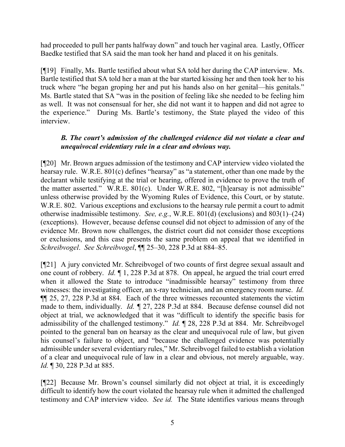had proceeded to pull her pants halfway down" and touch her vaginal area. Lastly, Officer Baedke testified that SA said the man took her hand and placed it on his genitals.

[¶19] Finally, Ms. Bartle testified about what SA told her during the CAP interview. Ms. Bartle testified that SA told her a man at the bar started kissing her and then took her to his truck where "he began groping her and put his hands also on her genital—his genitals." Ms. Bartle stated that SA "was in the position of feeling like she needed to be feeling him as well. It was not consensual for her, she did not want it to happen and did not agree to the experience." During Ms. Bartle's testimony, the State played the video of this interview.

# *B. The court's admission of the challenged evidence did not violate a clear and unequivocal evidentiary rule in a clear and obvious way.*

[¶20] Mr. Brown argues admission of the testimony and CAP interview video violated the hearsay rule. W.R.E. 801(c) defines "hearsay" as "a statement, other than one made by the declarant while testifying at the trial or hearing, offered in evidence to prove the truth of the matter asserted." W.R.E. 801(c). Under W.R.E. 802, "[h]earsay is not admissible" unless otherwise provided by the Wyoming Rules of Evidence, this Court, or by statute. W.R.E. 802. Various exceptions and exclusions to the hearsay rule permit a court to admit otherwise inadmissible testimony. *See, e.g.*, W.R.E. 801(d) (exclusions) and 803(1)–(24) (exceptions). However, because defense counsel did not object to admission of any of the evidence Mr. Brown now challenges, the district court did not consider those exceptions or exclusions, and this case presents the same problem on appeal that we identified in *Schreibvogel*. *See Schreibvogel*, ¶¶ 25–30, 228 P.3d at 884–85.

[¶21] A jury convicted Mr. Schreibvogel of two counts of first degree sexual assault and one count of robbery. *Id.* ¶ 1, 228 P.3d at 878. On appeal, he argued the trial court erred when it allowed the State to introduce "inadmissible hearsay" testimony from three witnesses: the investigating officer, an x-ray technician, and an emergency room nurse. *Id.* ¶¶ 25, 27, 228 P.3d at 884. Each of the three witnesses recounted statements the victim made to them, individually. *Id. ¶* 27, 228 P.3d at 884. Because defense counsel did not object at trial, we acknowledged that it was "difficult to identify the specific basis for admissibility of the challenged testimony." *Id.* ¶ 28, 228 P.3d at 884. Mr. Schreibvogel pointed to the general ban on hearsay as the clear and unequivocal rule of law, but given his counsel's failure to object, and "because the challenged evidence was potentially admissible under several evidentiary rules," Mr. Schreibvogel failed to establish a violation of a clear and unequivocal rule of law in a clear and obvious, not merely arguable, way. *Id.* ¶ 30, 228 P.3d at 885.

[¶22] Because Mr. Brown's counsel similarly did not object at trial, it is exceedingly difficult to identify how the court violated the hearsay rule when it admitted the challenged testimony and CAP interview video. *See id.* The State identifies various means through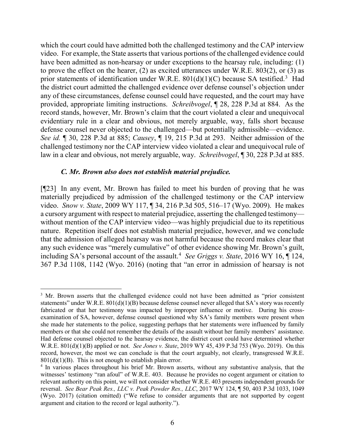which the court could have admitted both the challenged testimony and the CAP interview video. For example, the State asserts that various portions of the challenged evidence could have been admitted as non-hearsay or under exceptions to the hearsay rule, including: (1) to prove the effect on the hearer, (2) as excited utterances under W.R.E. 803(2), or (3) as prior statements of identification under W.R.E.  $801(d)(1)(C)$  because SA testified.<sup>[3](#page-6-0)</sup> Had the district court admitted the challenged evidence over defense counsel's objection under any of these circumstances, defense counsel could have requested, and the court may have provided, appropriate limiting instructions. *Schreibvogel*, ¶ 28, 228 P.3d at 884. As the record stands, however, Mr. Brown's claim that the court violated a clear and unequivocal evidentiary rule in a clear and obvious, not merely arguable, way, falls short because defense counsel never objected to the challenged—but potentially admissible—evidence. *See id.* ¶ 30, 228 P.3d at 885; *Causey*, ¶ 19, 215 P.3d at 293. Neither admission of the challenged testimony nor the CAP interview video violated a clear and unequivocal rule of law in a clear and obvious, not merely arguable, way. *Schreibvogel*, ¶ 30, 228 P.3d at 885.

### *C. Mr. Brown also does not establish material prejudice.*

[¶23] In any event, Mr. Brown has failed to meet his burden of proving that he was materially prejudiced by admission of the challenged testimony or the CAP interview video. *Snow v. State*, 2009 WY 117, ¶ 34, 216 P.3d 505, 516–17 (Wyo. 2009). He makes a cursory argument with respect to material prejudice, asserting the challenged testimony without mention of the CAP interview video—was highly prejudicial due to its repetitious nature. Repetition itself does not establish material prejudice, however, and we conclude that the admission of alleged hearsay was not harmful because the record makes clear that any such evidence was "merely cumulative" of other evidence showing Mr. Brown's guilt, including SA's personal account of the assault.[4](#page-6-1) *See Griggs v. State*, 2016 WY 16, ¶ 124, 367 P.3d 1108, 1142 (Wyo. 2016) (noting that "an error in admission of hearsay is not

<span id="page-6-0"></span><sup>&</sup>lt;sup>3</sup> Mr. Brown asserts that the challenged evidence could not have been admitted as "prior consistent" statements" under W.R.E.  $801(d)(1)(B)$  because defense counsel never alleged that SA's story was recently fabricated or that her testimony was impacted by improper influence or motive. During his crossexamination of SA, however, defense counsel questioned why SA's family members were present when she made her statements to the police, suggesting perhaps that her statements were influenced by family members or that she could not remember the details of the assault without her family members' assistance. Had defense counsel objected to the hearsay evidence, the district court could have determined whether W.R.E. 801(d)(1)(B) applied or not. *See Jones v. State*, 2019 WY 45, 439 P.3d 753 (Wyo. 2019). On this record, however, the most we can conclude is that the court arguably, not clearly, transgressed W.R.E.  $801(d)(1)(B)$ . This is not enough to establish plain error.

<span id="page-6-1"></span><sup>4</sup> In various places throughout his brief Mr. Brown asserts, without any substantive analysis, that the witnesses' testimony "ran afoul" of W.R.E. 403. Because he provides no cogent argument or citation to relevant authority on this point, we will not consider whether W.R.E. 403 presents independent grounds for reversal. *See Bear Peak Res., LLC v. Peak Powder Res., LLC*, 2017 WY 124, ¶ 50, 403 P.3d 1033, 1049 (Wyo. 2017) (citation omitted) ("We refuse to consider arguments that are not supported by cogent argument and citation to the record or legal authority.").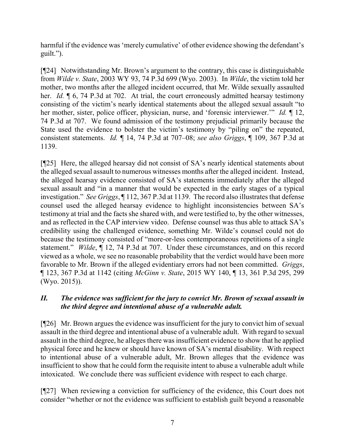harmful if the evidence was 'merely cumulative' of other evidence showing the defendant's guilt.").

[¶24] Notwithstanding Mr. Brown's argument to the contrary, this case is distinguishable from *Wilde v. State*, 2003 WY 93, 74 P.3d 699 (Wyo. 2003). In *Wilde*, the victim told her mother, two months after the alleged incident occurred, that Mr. Wilde sexually assaulted her. *Id.*  $\parallel$  6, 74 P.3d at 702. At trial, the court erroneously admitted hearsay testimony consisting of the victim's nearly identical statements about the alleged sexual assault "to her mother, sister, police officer, physician, nurse, and 'forensic interviewer.'" *Id.* ¶ 12, 74 P.3d at 707. We found admission of the testimony prejudicial primarily because the State used the evidence to bolster the victim's testimony by "piling on" the repeated, consistent statements. *Id.* ¶ 14, 74 P.3d at 707–08; *see also Griggs*, ¶ 109, 367 P.3d at 1139.

[¶25] Here, the alleged hearsay did not consist of SA's nearly identical statements about the alleged sexual assault to numerous witnesses months after the alleged incident. Instead, the alleged hearsay evidence consisted of SA's statements immediately after the alleged sexual assault and "in a manner that would be expected in the early stages of a typical investigation." *See Griggs*, ¶ 112, 367 P.3d at 1139. The record also illustrates that defense counsel used the alleged hearsay evidence to highlight inconsistencies between SA's testimony at trial and the facts she shared with, and were testified to, by the other witnesses, and as reflected in the CAP interview video. Defense counsel was thus able to attack SA's credibility using the challenged evidence, something Mr. Wilde's counsel could not do because the testimony consisted of "more-or-less contemporaneous repetitions of a single statement." *Wilde*, ¶ 12, 74 P.3d at 707. Under these circumstances, and on this record viewed as a whole, we see no reasonable probability that the verdict would have been more favorable to Mr. Brown if the alleged evidentiary errors had not been committed. *Griggs*, ¶ 123, 367 P.3d at 1142 (citing *McGinn v. State*, 2015 WY 140, ¶ 13, 361 P.3d 295, 299 (Wyo. 2015)).

# *II. The evidence was sufficient for the jury to convict Mr. Brown of sexual assault in the third degree and intentional abuse of a vulnerable adult.*

[¶26] Mr. Brown argues the evidence was insufficient for the jury to convict him of sexual assault in the third degree and intentional abuse of a vulnerable adult. With regard to sexual assault in the third degree, he alleges there was insufficient evidence to show that he applied physical force and he knew or should have known of SA's mental disability. With respect to intentional abuse of a vulnerable adult, Mr. Brown alleges that the evidence was insufficient to show that he could form the requisite intent to abuse a vulnerable adult while intoxicated. We conclude there was sufficient evidence with respect to each charge.

[¶27] When reviewing a conviction for sufficiency of the evidence, this Court does not consider "whether or not the evidence was sufficient to establish guilt beyond a reasonable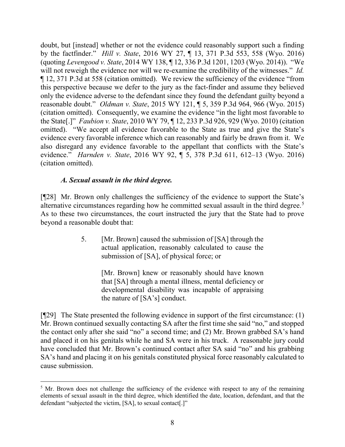doubt, but [instead] whether or not the evidence could reasonably support such a finding by the factfinder." *Hill v. State*, 2016 WY 27, ¶ 13, 371 P.3d 553, 558 (Wyo. 2016) (quoting *Levengood v. State*, 2014 WY 138, ¶ 12, 336 P.3d 1201, 1203 (Wyo. 2014)). "We will not reweigh the evidence nor will we re-examine the credibility of the witnesses." *Id.* ¶ 12, 371 P.3d at 558 (citation omitted). We review the sufficiency of the evidence "from this perspective because we defer to the jury as the fact-finder and assume they believed only the evidence adverse to the defendant since they found the defendant guilty beyond a reasonable doubt." *Oldman v. State*, 2015 WY 121, ¶ 5, 359 P.3d 964, 966 (Wyo. 2015) (citation omitted). Consequently, we examine the evidence "in the light most favorable to the State[.]" *Faubion v. State*, 2010 WY 79, ¶ 12, 233 P.3d 926, 929 (Wyo. 2010) (citation omitted). "We accept all evidence favorable to the State as true and give the State's evidence every favorable inference which can reasonably and fairly be drawn from it. We also disregard any evidence favorable to the appellant that conflicts with the State's evidence." *Harnden v. State*, 2016 WY 92, ¶ 5, 378 P.3d 611, 612–13 (Wyo. 2016) (citation omitted).

# *A. Sexual assault in the third degree.*

[¶28] Mr. Brown only challenges the sufficiency of the evidence to support the State's alternative circumstances regarding how he committed sexual assault in the third degree. [5](#page-8-0) As to these two circumstances, the court instructed the jury that the State had to prove beyond a reasonable doubt that:

> 5. [Mr. Brown] caused the submission of [SA] through the actual application, reasonably calculated to cause the submission of [SA], of physical force; or

> > [Mr. Brown] knew or reasonably should have known that [SA] through a mental illness, mental deficiency or developmental disability was incapable of appraising the nature of [SA's] conduct.

[¶29] The State presented the following evidence in support of the first circumstance: (1) Mr. Brown continued sexually contacting SA after the first time she said "no," and stopped the contact only after she said "no" a second time; and (2) Mr. Brown grabbed SA's hand and placed it on his genitals while he and SA were in his truck. A reasonable jury could have concluded that Mr. Brown's continued contact after SA said "no" and his grabbing SA's hand and placing it on his genitals constituted physical force reasonably calculated to cause submission.

<span id="page-8-0"></span><sup>&</sup>lt;sup>5</sup> Mr. Brown does not challenge the sufficiency of the evidence with respect to any of the remaining elements of sexual assault in the third degree, which identified the date, location, defendant, and that the defendant "subjected the victim, [SA], to sexual contact[.]"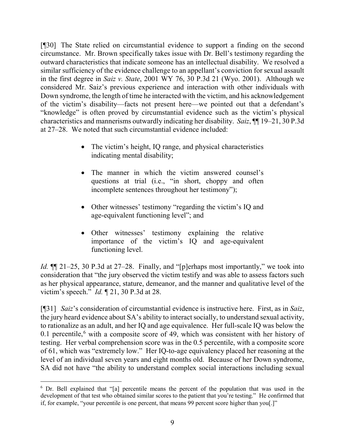[¶30] The State relied on circumstantial evidence to support a finding on the second circumstance. Mr. Brown specifically takes issue with Dr. Bell's testimony regarding the outward characteristics that indicate someone has an intellectual disability. We resolved a similar sufficiency of the evidence challenge to an appellant's conviction for sexual assault in the first degree in *Saiz v. State*, 2001 WY 76, 30 P.3d 21 (Wyo. 2001). Although we considered Mr. Saiz's previous experience and interaction with other individuals with Down syndrome, the length of time he interacted with the victim, and his acknowledgement of the victim's disability—facts not present here—we pointed out that a defendant's "knowledge" is often proved by circumstantial evidence such as the victim's physical characteristics and mannerisms outwardly indicating her disability. *Saiz*, ¶¶ 19–21, 30 P.3d at 27–28. We noted that such circumstantial evidence included:

- The victim's height, IQ range, and physical characteristics indicating mental disability;
- The manner in which the victim answered counsel's questions at trial (i.e., "in short, choppy and often incomplete sentences throughout her testimony");
- Other witnesses' testimony "regarding the victim's IQ and age-equivalent functioning level"; and
- Other witnesses' testimony explaining the relative importance of the victim's IQ and age-equivalent functioning level.

*Id.*  $\P$  21–25, 30 P.3d at 27–28. Finally, and "[p]erhaps most importantly," we took into consideration that "the jury observed the victim testify and was able to assess factors such as her physical appearance, stature, demeanor, and the manner and qualitative level of the victim's speech." *Id.* ¶ 21, 30 P.3d at 28.

[¶31] *Saiz*'s consideration of circumstantial evidence is instructive here.First, as in *Saiz*, the jury heard evidence about SA's ability to interact socially, to understand sexual activity, to rationalize as an adult, and her IQ and age equivalence. Her full-scale IQ was below the 0.1 percentile, $6$  with a composite score of 49, which was consistent with her history of testing. Her verbal comprehension score was in the 0.5 percentile, with a composite score of 61, which was "extremely low." Her IQ-to-age equivalency placed her reasoning at the level of an individual seven years and eight months old. Because of her Down syndrome, SA did not have "the ability to understand complex social interactions including sexual

<span id="page-9-0"></span> <sup>6</sup> Dr. Bell explained that "[a] percentile means the percent of the population that was used in the development of that test who obtained similar scores to the patient that you're testing." He confirmed that if, for example, "your percentile is one percent, that means 99 percent score higher than you[.]"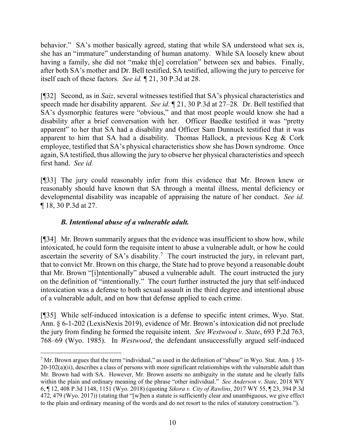behavior." SA's mother basically agreed, stating that while SA understood what sex is, she has an "immature" understanding of human anatomy. While SA loosely knew about having a family, she did not "make the correlation" between sex and babies. Finally, after both SA's mother and Dr. Bell testified, SA testified, allowing the jury to perceive for itself each of these factors. *See id.* ¶ 21, 30 P.3d at 28.

[¶32] Second, as in *Saiz*, several witnesses testified that SA's physical characteristics and speech made her disability apparent. *See id.* ¶ 21, 30 P.3d at 27–28*.* Dr. Bell testified that SA's dysmorphic features were "obvious," and that most people would know she had a disability after a brief conversation with her. Officer Baedke testified it was "pretty apparent" to her that SA had a disability and Officer Sam Dunnuck testified that it was apparent to him that SA had a disability. Thomas Hallock, a previous Keg & Cork employee, testified that SA's physical characteristics show she has Down syndrome. Once again, SA testified, thus allowing the jury to observe her physical characteristics and speech first hand. *See id.*

[¶33] The jury could reasonably infer from this evidence that Mr. Brown knew or reasonably should have known that SA through a mental illness, mental deficiency or developmental disability was incapable of appraising the nature of her conduct. *See id.* ¶ 18, 30 P.3d at 27.

# *B. Intentional abuse of a vulnerable adult.*

[¶34] Mr. Brown summarily argues that the evidence was insufficient to show how, while intoxicated, he could form the requisite intent to abuse a vulnerable adult, or how he could ascertain the severity of SA's disability.<sup>[7](#page-10-0)</sup> The court instructed the jury, in relevant part, that to convict Mr. Brown on this charge, the State had to prove beyond a reasonable doubt that Mr. Brown "[i]ntentionally" abused a vulnerable adult. The court instructed the jury on the definition of "intentionally." The court further instructed the jury that self-induced intoxication was a defense to both sexual assault in the third degree and intentional abuse of a vulnerable adult, and on how that defense applied to each crime.

[¶35] While self-induced intoxication is a defense to specific intent crimes, Wyo. Stat. Ann. § 6-1-202 (LexisNexis 2019), evidence of Mr. Brown's intoxication did not preclude the jury from finding he formed the requisite intent. *See Westwood v. State*, 693 P.2d 763, 768–69 (Wyo. 1985). In *Westwood*, the defendant unsuccessfully argued self-induced

<span id="page-10-0"></span> $7$  Mr. Brown argues that the term "individual," as used in the definition of "abuse" in Wyo. Stat. Ann. § 35- $20-102(a)(ii)$ , describes a class of persons with more significant relationships with the vulnerable adult than Mr. Brown had with SA. However, Mr. Brown asserts no ambiguity in the statute and he clearly falls within the plain and ordinary meaning of the phrase "other individual." *See Anderson v. State*, 2018 WY 6, ¶ 12, 408 P.3d 1148, 1151 (Wyo. 2018) (quoting *Sikora v. City of Rawlins*, 2017 WY 55, ¶ 23, 394 P.3d 472, 479 (Wyo. 2017)) (stating that "[w]hen a statute is sufficiently clear and unambiguous, we give effect to the plain and ordinary meaning of the words and do not resort to the rules of statutory construction.").